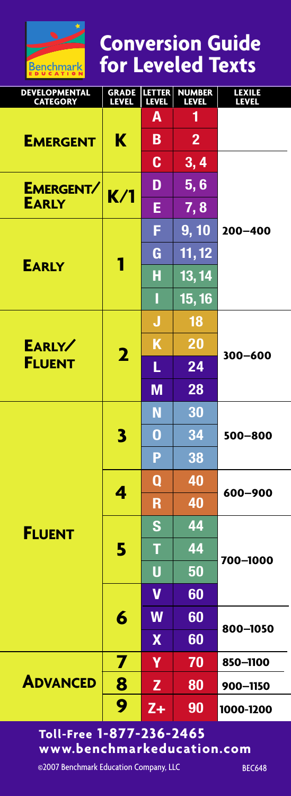

**Conversion Guide for Leveled Texts**

| DEVELOPMENTAL<br><b>CATEGORY</b> | <b>GRADE</b><br>LEVEL   | <b>LETTER</b><br>LEVEL | <b>NUMBER</b><br><b>LEVEL</b> | LEXILE<br><b>LEVEL</b> |
|----------------------------------|-------------------------|------------------------|-------------------------------|------------------------|
| <b>EMERGENT</b>                  | ĸ                       | Α                      | 1                             |                        |
|                                  |                         | В                      | $\overline{2}$                |                        |
|                                  |                         | C                      | 3, 4                          |                        |
| EMERGENT/<br><b>EARLY</b>        | K/1                     | D                      | 5,6                           | 200-400                |
|                                  |                         | E                      | 7,8                           |                        |
| <b>EARLY</b>                     | 1                       | F                      | 9, 10                         |                        |
|                                  |                         | G                      | 11, 12                        |                        |
|                                  |                         | Н                      | 13, 14                        |                        |
|                                  |                         | Ī                      | 15, 16                        |                        |
| EARLY/<br><b>FLUENT</b>          | $\overline{\mathbf{2}}$ | J                      | 18                            | 300-600                |
|                                  |                         | Κ                      | 20                            |                        |
|                                  |                         | L                      | 24                            |                        |
|                                  |                         | M                      | 28                            |                        |
| <b>FLUENT</b>                    | 3                       | N                      | 30                            | 500-800                |
|                                  |                         | 0                      | 34                            |                        |
|                                  |                         | P                      | 38                            |                        |
|                                  | 4                       | 0                      | 40                            | 600-900                |
|                                  |                         | R                      | 40                            |                        |
|                                  | 5                       | Ś                      | 44                            | 700-1000               |
|                                  |                         | т                      | 44                            |                        |
|                                  |                         | Ū                      | 50                            |                        |
|                                  | 6                       | V                      | 60                            |                        |
|                                  |                         | W                      | 60                            | 800-1050               |
|                                  |                         | $\boldsymbol{X}$       | 60                            |                        |
| <b>ADVANCED</b>                  | 7                       | γ                      | 70                            | 850-1100               |
|                                  | 8                       | Z                      | 80                            | 900-1150               |
|                                  | 9                       | $Z+$                   | 90                            | 1000-1200              |

# **Toll-Free 1-877-236-2465 www.benchmarkeducation.com**

©2007 Benchmark Education Company, LLC BEC648